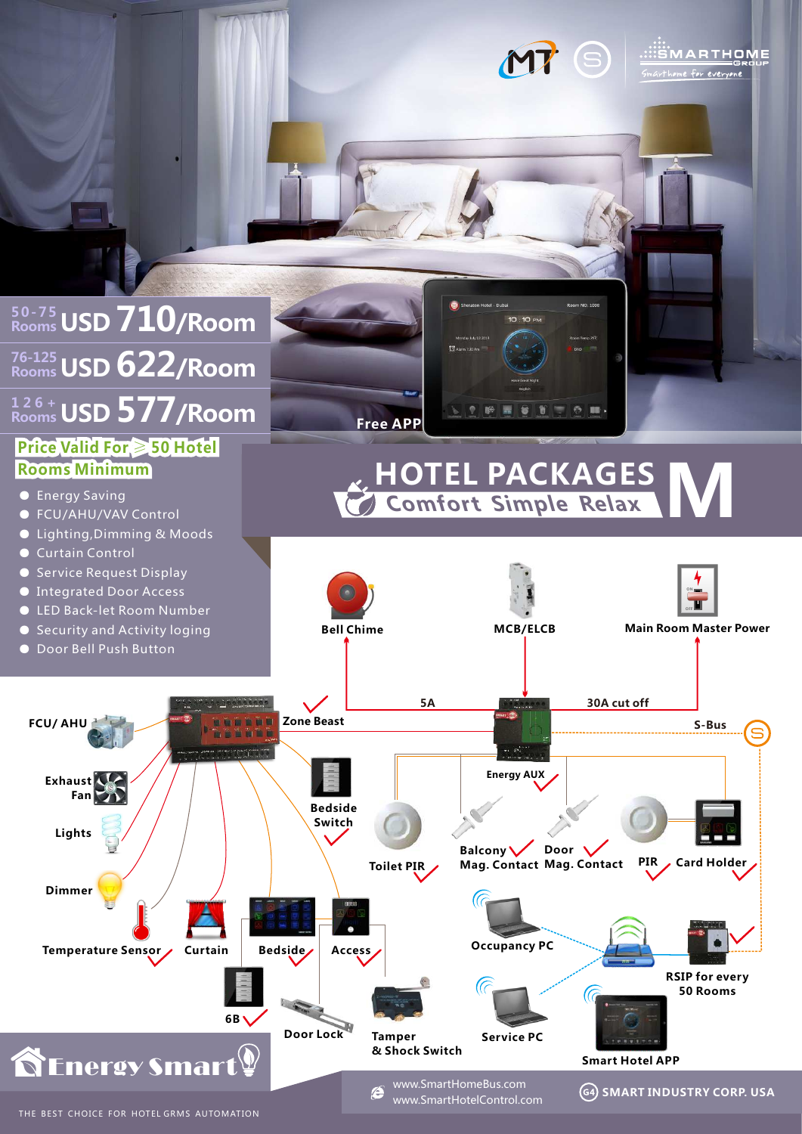

**MP** S EXPLARE THE GROUP

home for everyone

THE BEST CHOICE FOR HOTEL GRMS AUTOMATION